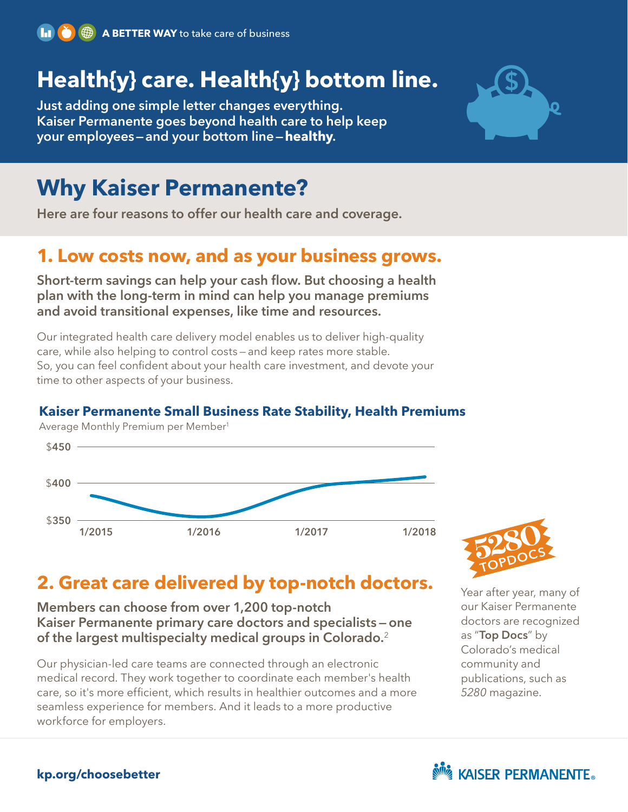

# **Health{y} care. Health{y} bottom line.**

**Just adding one simple letter changes everything. Kaiser Permanente goes beyond health care to help keep your employees—and your bottom line—healthy.**



# **Why Kaiser Permanente?**

**Here are four reasons to offer our health care and coverage.**

## **1. Low costs now, and as your business grows.**

**Short-term savings can help your cash flow. But choosing a health plan with the long-term in mind can help you manage premiums and avoid transitional expenses, like time and resources.**

Our integrated health care delivery model enables us to deliver high-quality care, while also helping to control costs — and keep rates more stable. So, you can feel confident about your health care investment, and devote your time to other aspects of your business.

#### **Kaiser Permanente Small Business Rate Stability, Health Premiums**

Average Monthly Premium per Member1





# **2. Great care delivered by top-notch doctors.**

#### **Members can choose from over 1,200 top-notch Kaiser Permanente primary care doctors and specialists — one of the largest multispecialty medical groups in Colorado.**<sup>2</sup>

Our physician-led care teams are connected through an electronic medical record. They work together to coordinate each member's health care, so it's more efficient, which results in healthier outcomes and a more seamless experience for members. And it leads to a more productive workforce for employers.